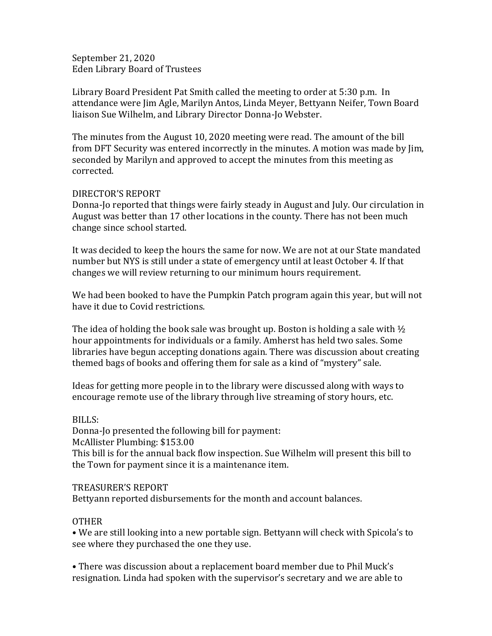September 21, 2020 Eden Library Board of Trustees

Library Board President Pat Smith called the meeting to order at 5:30 p.m. In attendance were Jim Agle, Marilyn Antos, Linda Meyer, Bettyann Neifer, Town Board liaison Sue Wilhelm, and Library Director Donna-Jo Webster.

The minutes from the August 10, 2020 meeting were read. The amount of the bill from DFT Security was entered incorrectly in the minutes. A motion was made by Jim, seconded by Marilyn and approved to accept the minutes from this meeting as corrected.

## DIRECTOR'S REPORT

Donna-Jo reported that things were fairly steady in August and July. Our circulation in August was better than 17 other locations in the county. There has not been much change since school started.

It was decided to keep the hours the same for now. We are not at our State mandated number but NYS is still under a state of emergency until at least October 4. If that changes we will review returning to our minimum hours requirement.

We had been booked to have the Pumpkin Patch program again this year, but will not have it due to Covid restrictions.

The idea of holding the book sale was brought up. Boston is holding a sale with  $\frac{1}{2}$ hour appointments for individuals or a family. Amherst has held two sales. Some libraries have begun accepting donations again. There was discussion about creating themed bags of books and offering them for sale as a kind of "mystery" sale.

Ideas for getting more people in to the library were discussed along with ways to encourage remote use of the library through live streaming of story hours, etc.

## BILLS:

Donna-Jo presented the following bill for payment: McAllister Plumbing: \$153.00 This bill is for the annual back flow inspection. Sue Wilhelm will present this bill to the Town for payment since it is a maintenance item.

## TREASURER'S REPORT

Bettyann reported disbursements for the month and account balances.

## OTHER

• We are still looking into a new portable sign. Bettyann will check with Spicola's to see where they purchased the one they use.

• There was discussion about a replacement board member due to Phil Muck's resignation. Linda had spoken with the supervisor's secretary and we are able to